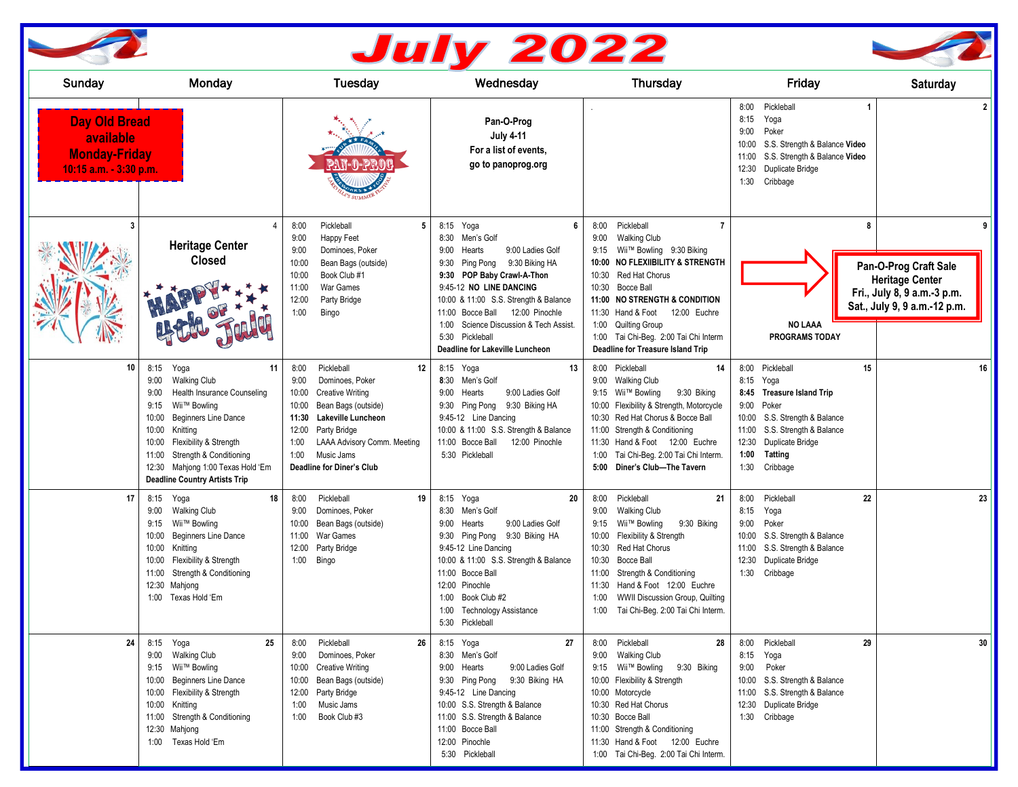| July 2022                                                                           |                                                                                                                                                                                                                                                                                                                             |                                                                                                                                                                                                                                                                                  |                                                                                                                                                                                                                                                                                                                                                     |                                                                                                                                                                                                                                                                                                                                                             |                                                                                                                                                                                                                        |                                                                                                                |  |  |  |
|-------------------------------------------------------------------------------------|-----------------------------------------------------------------------------------------------------------------------------------------------------------------------------------------------------------------------------------------------------------------------------------------------------------------------------|----------------------------------------------------------------------------------------------------------------------------------------------------------------------------------------------------------------------------------------------------------------------------------|-----------------------------------------------------------------------------------------------------------------------------------------------------------------------------------------------------------------------------------------------------------------------------------------------------------------------------------------------------|-------------------------------------------------------------------------------------------------------------------------------------------------------------------------------------------------------------------------------------------------------------------------------------------------------------------------------------------------------------|------------------------------------------------------------------------------------------------------------------------------------------------------------------------------------------------------------------------|----------------------------------------------------------------------------------------------------------------|--|--|--|
| Sunday                                                                              | Monday                                                                                                                                                                                                                                                                                                                      | Tuesday                                                                                                                                                                                                                                                                          | Wednesday                                                                                                                                                                                                                                                                                                                                           | <b>Thursday</b>                                                                                                                                                                                                                                                                                                                                             | Friday                                                                                                                                                                                                                 | <b>Saturday</b>                                                                                                |  |  |  |
| <b>Day Old Bread</b><br>available<br><b>Monday-Friday</b><br>10:15 a.m. - 3:30 p.m. |                                                                                                                                                                                                                                                                                                                             | <u> PAN-O-PROC</u>                                                                                                                                                                                                                                                               | Pan-O-Prog<br><b>July 4-11</b><br>For a list of events,<br>go to panoprog.org                                                                                                                                                                                                                                                                       |                                                                                                                                                                                                                                                                                                                                                             | Pickleball<br>8:00<br>$\overline{1}$<br>8:15<br>Yoga<br>Poker<br>9:00<br>S.S. Strength & Balance Video<br>10:00<br>S.S. Strength & Balance Video<br>11:00<br>Duplicate Bridge<br>12:30<br>1:30<br>Cribbage             |                                                                                                                |  |  |  |
| 3                                                                                   | $\overline{4}$<br><b>Heritage Center</b><br><b>Closed</b>                                                                                                                                                                                                                                                                   | Pickleball<br>8:00<br>5<br>9:00<br>Happy Feet<br>Dominoes, Poker<br>9:00<br>10:00<br>Bean Bags (outside)<br>Book Club #1<br>10:00<br>War Games<br>11:00<br>12:00<br>Party Bridge<br>1:00<br>Bingo                                                                                | 8:15 Yoga<br>6<br>8:30 Men's Golf<br>9:00 Ladies Golf<br>9:00<br>Hearts<br>9:30 Ping Pong 9:30 Biking HA<br>9:30 POP Baby Crawl-A-Thon<br>9:45-12 NO LINE DANCING<br>10:00 & 11:00 S.S. Strength & Balance<br>Bocce Ball<br>12:00 Pinochle<br>11:00<br>1:00 Science Discussion & Tech Assist.<br>5:30 Pickleball<br>Deadline for Lakeville Luncheon | Pickleball<br>$\overline{7}$<br>8:00<br>Walking Club<br>9:00<br>9:15 Wii™ Bowling 9:30 Biking<br>10:00 NO FLEXIIBILITY & STRENGTH<br>Red Hat Chorus<br>10:30<br>Bocce Ball<br>10:30<br>11:00 NO STRENGTH & CONDITION<br>11:30 Hand & Foot 12:00 Euchre<br>1:00 Quilting Group<br>1:00 Tai Chi-Beg. 2:00 Tai Chi Interm<br>Deadline for Treasure Island Trip | 8<br><b>NO LAAA</b><br><b>PROGRAMS TODAY</b>                                                                                                                                                                           | Pan-O-Prog Craft Sale<br><b>Heritage Center</b><br>Fri., July 8, 9 a.m.-3 p.m.<br>Sat., July 9, 9 a.m.-12 p.m. |  |  |  |
| 10                                                                                  | 11<br>8:15 Yoga<br>9:00<br><b>Walking Club</b><br>Health Insurance Counseling<br>9:00<br>9:15<br>Wii™ Bowling<br><b>Beginners Line Dance</b><br>10:00<br>Knitting<br>10:00<br>10:00<br>Flexibility & Strength<br>11:00 Strength & Conditioning<br>12:30 Mahjong 1:00 Texas Hold 'Em<br><b>Deadline Country Artists Trip</b> | Pickleball<br>8:00<br>12<br>Dominoes, Poker<br>9:00<br>10:00<br><b>Creative Writing</b><br>10:00<br>Bean Bags (outside)<br>Lakeville Luncheon<br>11:30<br>Party Bridge<br>12:00<br>1:00<br>LAAA Advisory Comm. Meeting<br>Music Jams<br>1:00<br><b>Deadline for Diner's Club</b> | 13<br>8:15 Yoga<br>8:30 Men's Golf<br>9:00 Ladies Golf<br>9:00 Hearts<br>9:30 Ping Pong 9:30 Biking HA<br>9:45-12 Line Dancing<br>10:00 & 11:00 S.S. Strength & Balance<br>11:00 Bocce Ball<br>12:00 Pinochle<br>5:30 Pickleball                                                                                                                    | 8:00 Pickleball<br>14<br>9:00 Walking Club<br>9:30 Biking<br>9:15 Wii™ Bowling<br>10:00 Flexibility & Strength, Motorcycle<br>10:30 Red Hat Chorus & Bocce Ball<br>11:00 Strength & Conditioning<br>11:30 Hand & Foot 12:00 Euchre<br>1:00 Tai Chi-Beg. 2:00 Tai Chi Interm.<br>Diner's Club-The Tavern<br>5:00                                             | 15<br>Pickleball<br>8:00<br>8:15 Yoga<br>8:45 Treasure Island Trip<br>9:00 Poker<br>10:00 S.S. Strength & Balance<br>11:00 S.S. Strength & Balance<br>12:30<br>Duplicate Bridge<br>1:00<br>Tatting<br>1:30<br>Cribbage | 16                                                                                                             |  |  |  |
| 17                                                                                  | 8:15<br>Yoga<br>18<br>9:00<br><b>Walking Club</b><br>9:15 Wii™ Bowling<br>Beginners Line Dance<br>10:00<br>10:00 Knitting<br>10:00 Flexibility & Strength<br>11:00 Strength & Conditioning<br>12:30 Mahjong<br>1:00 Texas Hold 'Em                                                                                          | Pickleball<br>8:00<br>19<br>9:00<br>Dominoes, Poker<br>10:00<br>Bean Bags (outside)<br>War Games<br>11:00<br>Party Bridge<br>12:00<br>Bingo<br>1:00                                                                                                                              | 8:15 Yoga<br>20<br>8:30 Men's Golf<br>9:00 Ladies Golf<br>9:00 Hearts<br>9:30 Ping Pong 9:30 Biking HA<br>9:45-12 Line Dancing<br>10:00 & 11:00 S.S. Strength & Balance<br>11:00 Bocce Ball<br>12:00 Pinochle<br>1:00 Book Club #2<br>1:00 Technology Assistance<br>5:30 Pickleball                                                                 | 8:00<br>Pickleball<br>21<br><b>Walking Club</b><br>9:00<br>9:15 Wii™ Bowling<br>9:30 Biking<br>10:00<br>Flexibility & Strength<br>10:30<br>Red Hat Chorus<br>10:30<br><b>Bocce Ball</b><br>Strength & Conditioning<br>11:00<br>Hand & Foot 12:00 Euchre<br>11:30<br>WWII Discussion Group, Quilting<br>1:00<br>1:00 Tai Chi-Beg. 2:00 Tai Chi Interm.       | 22<br>8:00<br>Pickleball<br>8:15<br>Yoga<br>9:00<br>Poker<br>S.S. Strength & Balance<br>10:00<br>11:00 S.S. Strength & Balance<br>12:30<br>Duplicate Bridge<br>1:30<br>Cribbage                                        | 23                                                                                                             |  |  |  |
| 24                                                                                  | 8:15 Yoga<br>25<br>9:00 Walking Club<br>9:15 Wii™ Bowling<br>10:00 Beginners Line Dance<br>10:00 Flexibility & Strength<br>10:00 Knitting<br>11:00 Strength & Conditioning<br>12:30 Mahjong<br>1:00 Texas Hold 'Em                                                                                                          | Pickleball<br>8:00<br>26<br>Dominoes, Poker<br>9:00<br><b>Creative Writing</b><br>10:00<br>10:00<br>Bean Bags (outside)<br>12:00 Party Bridge<br>Music Jams<br>1:00<br>Book Club #3<br>1:00                                                                                      | 8:15 Yoga<br>27<br>8:30 Men's Golf<br>9:00 Hearts<br>9:00 Ladies Golf<br>9:30 Ping Pong 9:30 Biking HA<br>9:45-12 Line Dancing<br>10:00 S.S. Strength & Balance<br>11:00 S.S. Strength & Balance<br>11:00 Bocce Ball<br>12:00 Pinochle<br>5:30 Pickleball                                                                                           | 8:00 Pickleball<br>28<br>9:00 Walking Club<br>9:15 Wii™ Bowling<br>9:30 Biking<br>10:00 Flexibility & Strength<br>10:00 Motorcycle<br>10:30 Red Hat Chorus<br>10:30 Bocce Ball<br>11:00 Strength & Conditioning<br>11:30 Hand & Foot 12:00 Euchre<br>1:00 Tai Chi-Beg. 2:00 Tai Chi Interm.                                                                 | 8:00 Pickleball<br>29<br>8:15 Yoga<br>9:00 Poker<br>10:00 S.S. Strength & Balance<br>11:00 S.S. Strength & Balance<br>12:30 Duplicate Bridge<br>1:30 Cribbage                                                          | 30                                                                                                             |  |  |  |

**PARTIES**